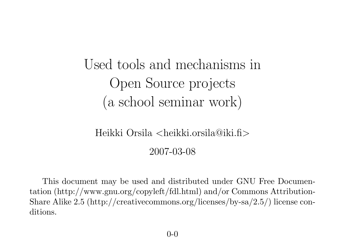Used tools and mechanisms inOpen Source projects(a school seminar work)

# Heikki Orsila <heikki.orsila@iki.fi>

2007-03-08

This document may be used and distributed under GNU Free Documentation (http://www.gnu.org/copyleft/fdl.html) and/or Commons Attribution-Share Alike 2.5 (http://creativecommons.org/licenses/by-sa/2.5/) license conditions.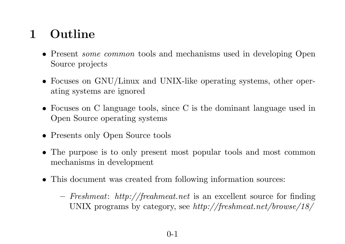# <sup>1</sup> Outline

- Present *some common* tools and mechanisms used in developing Open Source projects
- Focuses on GNU/Linux and UNIX-like operating systems, other operating systems are ignored
- Focuses on <sup>C</sup> language tools, since <sup>C</sup> is the dominant language used inOpen Source operating systems
- Presents only Open Source tools
- The purpose is to only present most popular tools and most commonmechanisms in development
- This document was created from following information sources:
	- $-$  Freshmeat: http://freahmeat.net is an excellent source for finding UNIX programs by category, see  $\emph{http://freshmeat.net/browse/18/}$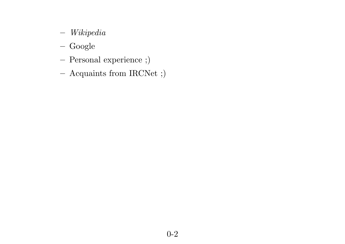- $-$  Wikipedia
- Google
- Personal experience ;)
- –Acquaints from IRCNet ;)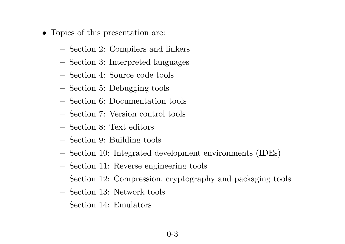- Topics of this presentation are:
	- Section 2: Compilers and linkers
	- $-$ – Section 3: Interpreted languages
	- –Section 4: Source code tools
	- Section 5: Debugging tools
	- Section 6: Documentation tools
	- –Section 7: Version control tools
	- $-$ – Section 8: Text editors
	- –Section 9: Building tools
	- Section 10: Integrated development environments (IDEs)
	- –Section 11: Reverse engineering tools
	- –Section 12: Compression, cryptography and packaging tools
	- –Section 13: Network tools
	- Section 14: Emulators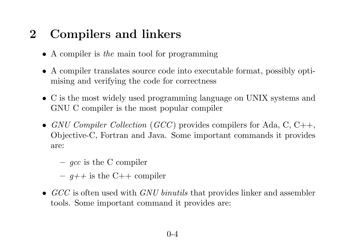#### <sup>2</sup> Compilers and linkers

- A compiler is the main tool for programming
- <sup>A</sup> compiler translates source code into executable format, possibly optimising and verifying the code for correctness
- <sup>C</sup> is the most widely used programming language on UNIX systems andGNU <sup>C</sup> compiler is the most popular compiler
- GNU Compiler Collection (GCC) provides compilers for Ada, C, C++, Objective-C, Fortran and Java. Some important commands it providesare:
	- $-gcc$  is the C compiler
	- $-$  g++ is the C++ compiler
- $GCC$  is often used with  $GNU$  binutils that provides linker and assembler tools. Some important command it provides are: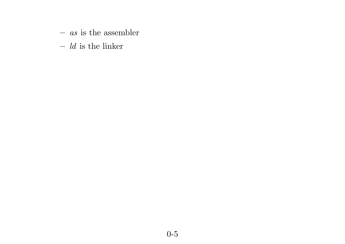- $-$  *as* is the assembler
- $-$  *ld* is the linker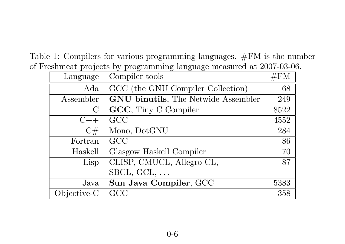Table 1: Compilers for various programming languages. #FM is the numberof Freshmeat projects by programming language measured at 2007-03-06.

| Language     | Compiler tools                      | $\#FM$ |
|--------------|-------------------------------------|--------|
| $\rm{Ada}$   | GCC (the GNU Compiler Collection)   | 68     |
| Assembler    | GNU binutils, The Netwide Assembler | 249    |
| $\mathbf{C}$ | GCC, Tiny C Compiler                | 8522   |
| $C++$        | GCC                                 | 4552   |
| C#           | Mono, DotGNU                        | 284    |
| Fortran      | GCC                                 | 86     |
| Haskell      | Glasgow Haskell Compiler            | 70     |
| Lisp         | CLISP, CMUCL, Allegro CL,           | 87     |
|              | $\text{SBCL}, \text{GCL}, \ldots$   |        |
| Java         | Sun Java Compiler, GCC              | 5383   |
| Objective-C  | GCC                                 | 358    |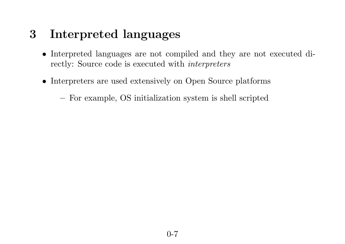### <sup>3</sup> Interpreted languages

- Interpreted languages are not compiled and they are not executed directly: Source code is executed with *interpreters*
- Interpreters are used extensively on Open Source <sup>p</sup>latforms

For example, OS initialization system is shell scripted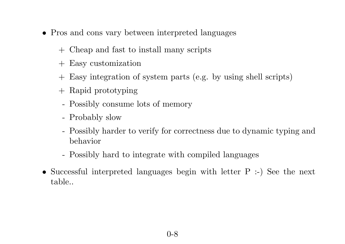- Pros and cons vary between interpreted languages
	- <sup>+</sup> Cheap and fast to install many scripts
	- <sup>+</sup> Easy customization
	- <sup>+</sup> Easy integration of system parts (e.g. by using shell scripts)
	- <sup>+</sup> Rapid prototyping
	- Possibly consume lots of memory
	- Probably slow
	- Possibly harder to verify for correctness due to dynamic typing andbehavior
	- Possibly hard to integrate with compiled languages
- Successful interpreted languages begin with letter <sup>P</sup> :-) See the next table..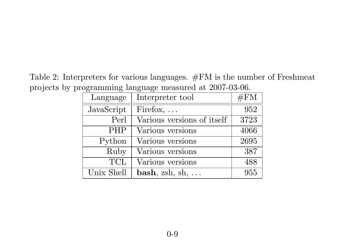Table 2: Interpreters for various languages. #FM is the number of Freshmeatprojects by programming language measured at 2007-03-06.

| Language   | Interpreter tool           | #FM  |
|------------|----------------------------|------|
| JavaScript | Firefox, $\dots$           | 952  |
| Perl       | Various versions of itself | 3723 |
| <b>PHP</b> | Various versions           | 4066 |
| Python     | Various versions           | 2695 |
| Ruby       | Various versions           | 387  |
| <b>TCL</b> | Various versions           | 488  |
| Unix Shell | $bash, zsh, sh, $          | 955  |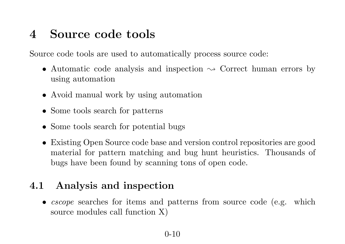#### <sup>4</sup> Source code tools

Source code tools are used to automatically process source code:

- Automatic code analysis and inspection  $\sim$  Correct human errors by using automation using automation
- Avoid manual work by using automation
- Some tools search for patterns
- Some tools search for potential bugs
- Existing Open Source code base and version control repositories are good material for pattern matching and bug hunt heuristics. Thousands of bugs have been found by scanning tons of open code.

#### 4.1 Analysis and inspection

• *cscope* searches for items and patterns from source code (e.g. which source modules call function X)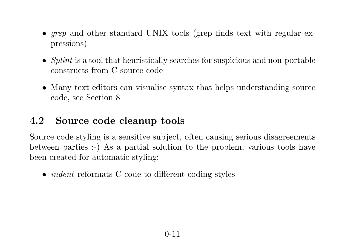- *grep* and other standard UNIX tools (grep finds text with regular expressions)
- Splint is a tool that heuristically searches for suspicious and non-portable constructs from <sup>C</sup> source code
- Many text editors can visualise syntax that helps understanding source code, see Section <sup>8</sup>

#### 4.2 Source code cleanup tools

Source code styling is <sup>a</sup> sensitive subject, often causing serious disagreements between parties :-) As <sup>a</sup> partial solution to the problem, various tools havebeen created for automatic styling:

• *indent* reformats C code to different coding styles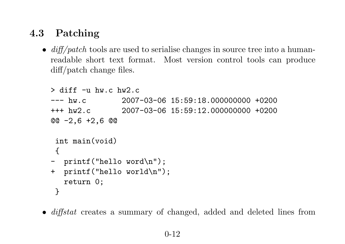#### 4.3 Patching

•  $diff/patch$  tools are used to serialise changes in source tree into a humanreadable short text format. Most version control tools can producediff/patch change files.

```
> diff -u hw.c hw2.c
--- hw.c 2007-03-06 15:59:18.000000000 +0200
+++ hw2.c 2007-03-06 15:59:12.000000000 +0200
@@-2,6+2,6@int main(void)
 {
- printf("hello word\n");
+ printf("hello world\n");
  return 0;
 }
```
• *diffstat* creates a summary of changed, added and deleted lines from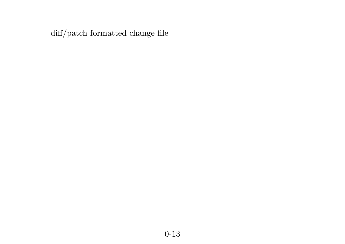diff/patch formatted change file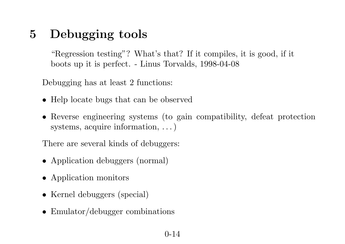### <sup>5</sup> Debugging tools

"Regression testing"? What's that? If it compiles, it is good, if itboots up it is perfect. - Linus Torvalds, 1998-04-08

Debugging has at least <sup>2</sup> functions:

- Help locate bugs that can be observed
- Reverse engineering systems (to gain compatibility, defeat protectionsystems, acquire information,  $\dots$ )

There are several kinds of debuggers:

- Application debuggers (normal)
- Application monitors
- Kernel debuggers (special)
- Emulator/debugger combinations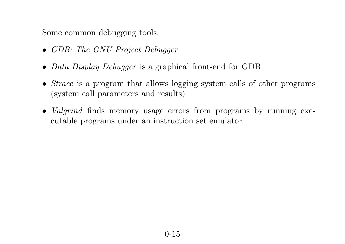Some common debugging tools:

- GDB: The GNU Project Debugger
- *Data Display Debugger* is a graphical front-end for GDB
- *Strace* is a program that allows logging system calls of other programs (system call parameters and results)
- Valgrind finds memory usage errors from programs by running executable programs under an instruction set emulator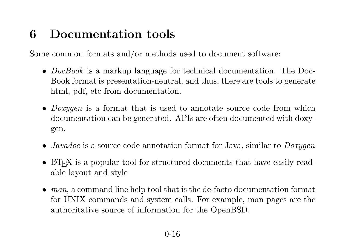# <sup>6</sup> Documentation tools

Some common formats and/or methods used to document software:

- $DocBook$  is a markup language for technical documentation. The Doc-Book format is presentation-neutral, and thus, there are tools to generatehtml, pdf, etc from documentation.
- *Doxygen* is a format that is used to annotate source code from which documentation can be generated. APIs are often documented with doxygen.
- *Javadoc* is a source code annotation format for Java, similar to  $D\text{oxygen}$
- LAT<sub>E</sub>X is a popular tool for structured documents that have easily readable layout and style
- $man$ , a command line help tool that is the de-facto documentation format for UNIX commands and system calls. For example, man pages are the authoritative source of information for the OpenBSD.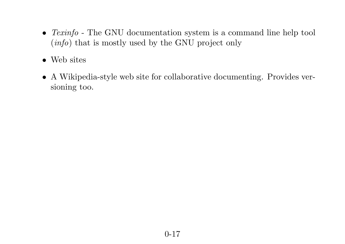- *Texinfo* The GNU documentation system is a command line help tool (info) that is mostly used by the GNU project only
- Web sites
- <sup>A</sup> Wikipedia-style web site for collaborative documenting. Provides versioning too.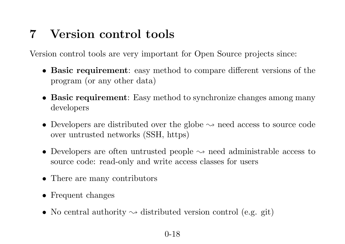# <sup>7</sup> Version control tools

Version control tools are very important for Open Source projects since:

- Basic requirement: easy method to compare different versions of the program (or any other data)
- Basic requirement: Easy method to synchronize changes among manydevelopers
- Developers are distributed over the globe  $\sim$  need access to source code<br>over untrusted networks (SSH https) over untrusted networks (SSH, https)
- Developers are often untrusted people  $\rightsquigarrow$  need administrable access to source code: read-only and write access classes for users source code: read-only and write access classes for users
- There are many contributors
- Frequent changes
- No central authority  $\leadsto$  distributed version control (e.g. git)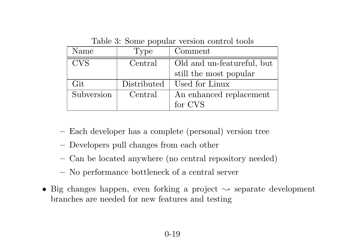| rapic 9. pollic popular version contributions |             |                            |  |
|-----------------------------------------------|-------------|----------------------------|--|
| Name                                          | Type        | Comment                    |  |
| <b>CVS</b>                                    | Central     | Old and un-featureful, but |  |
|                                               |             | still the most popular     |  |
| Git                                           | Distributed | Used for Linux             |  |
| Subversion                                    | Central     | An enhanced replacement    |  |
|                                               |             | for CVS                    |  |

Table 3: Some popular version control tools

- Each developer has <sup>a</sup> complete (personal) version tree
- Developers pull changes from each other
- Can be located anywhere (no central repository needed)
- –No performance bottleneck of <sup>a</sup> central server
- Big changes happen, even forking a project  $\rightsquigarrow$  separate development<br>branches are needed for new features and testing branches are needed for new features and testing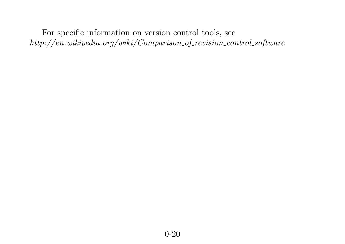For specific information on version control tools, see $\emph{http://en.wikipedia.org/wiki/Comparison_of\_revision\_control\_softmax$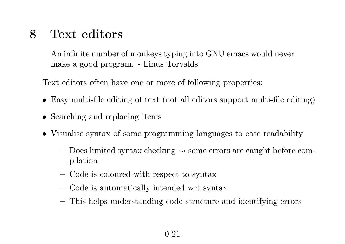#### <sup>8</sup> Text editors

An infinite number of monkeys typing into GNU emacs would nevermake <sup>a</sup> good program. - Linus Torvalds

Text editors often have one or more of following properties:

- Easy multi-file editing of text (not all editors support multi-file editing)
- Searching and replacing items
- Visualise syntax of some programming languages to ease readability
	- $-$  Does limited syntax checking  $\rightsquigarrow$  some errors are caught before com-<br>polation pilation
	- –– Code is coloured with respect to syntax
	- –Code is automatically intended wrt syntax
	- –This helps understanding code structure and identifying errors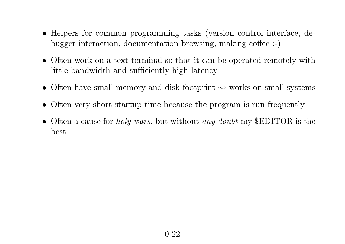- Helpers for common programming tasks (version control interface, debugger interaction, documentation browsing, making coffee :-)
- Often work on <sup>a</sup> text terminal so that it can be operated remotely withlittle bandwidth and sufficiently high latency
- Often have small memory and disk footprint  $\sim$  works on small systems
- Often very short startup time because the program is run frequently
- Often a cause for *holy wars*, but without *any doubt* my \$EDITOR is the best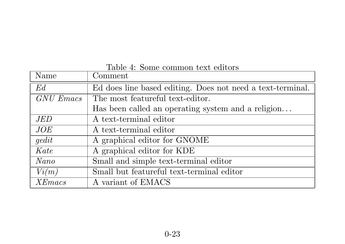| Name       | $\mathop{\mathrm{Comment}}$                                |
|------------|------------------------------------------------------------|
| Ed         | Ed does line based editing. Does not need a text-terminal. |
| GNU Emacs  | The most featureful text-editor.                           |
|            | Has been called an operating system and a religion         |
| <i>JED</i> | A text-terminal editor                                     |
| JOE        | A text-terminal editor                                     |
| gedit      | A graphical editor for GNOME                               |
| Kate       | A graphical editor for KDE                                 |
| Nano       | Small and simple text-terminal editor                      |
| Vi(m)      | Small but featureful text-terminal editor                  |
| XEmacs     | A variant of EMACS                                         |

#### Table 4: Some common text editors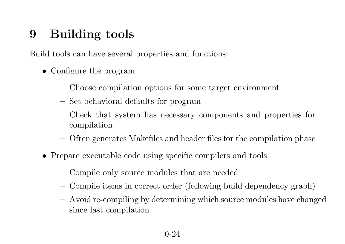## <sup>9</sup> Building tools

Build tools can have several properties and functions:

- Configure the program
	- Choose compilation options for some target environment
	- Set behavioral defaults for program
	- – Check that system has necessary components and properties for compilation
	- –Often generates Makefiles and header files for the compilation <sup>p</sup>hase
- Prepare executable code using specific compilers and tools
	- $-$ Compile only source modules that are needed
	- –Compile items in correct order (following build dependency graph)
	- Avoid re-compiling by determining which source modules have changed since last compilation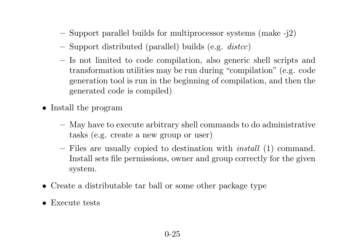- $-$  Support parallel builds for multiprocessor systems (make -j2)
- – $-$  Support distributed (parallel) builds (e.g.  $\emph{distcc}$ )
- – Is not limited to code compilation, also generic shell scripts and transformation utilities may be run during "compilation" (e.g. code generation tool is run in the beginning of compilation, and then thegenerated code is compiled)
- Install the program
	- – $-$  May have to execute arbitrary shell commands to do administrative tasks (e.g. create <sup>a</sup> new group or user)
	- –- Files are usually copied to destination with *install*  $(1)$  command. Install sets file permissions, owner and group correctly for the <sup>g</sup>ivensystem.
- Create <sup>a</sup> distributable tar ball or some other package type
- Execute tests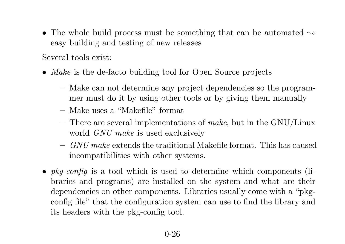• The whole build process must be something that can be automated  $\rightsquigarrow$ easy building and testing of new releases

Several tools exist:

- *Make* is the de-facto building tool for Open Source projects
	- Make can not determine any project dependencies so the programmer must do it by using other tools or by <sup>g</sup>iving them manually
	- $-$ Make uses <sup>a</sup> "Makefile" format
	- –- There are several implementations of *make*, but in the GNU/Linux world *GNU* make is used exclusively
	- $-GNU\ make\ extends\ the\ traditional\ Makefile\ format.\ This\ has\ caused$ incompatibilities with other systems.
- $pkg\text{-}config$  is a tool which is used to determine which components (libraries and programs) are installed on the system and what are their dependencies on other components. Libraries usually come with <sup>a</sup> "pkgconfig file" that the configuration system can use to find the library andits headers with the <sup>p</sup>kg-config tool.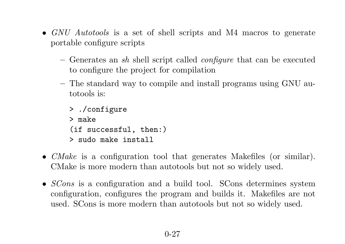- GNU Autotools is a set of shell scripts and M4 macros to generate portable configure scripts
	- Generates an sh shell script called *configure* that can be executed to configure the project for compilation
	- –- The standard way to compile and install programs using GNU autotools is:
		- > ./configure > make (if successful, then:) > sudo make install
- CMake is <sup>a</sup> configuration tool that generates Makefiles (or similar). CMake is more modern than autotools but not so widely used.
- *SCons* is a configuration and a build tool. SCons determines system configuration, configures the program and builds it. Makefiles are notused. SCons is more modern than autotools but not so widely used.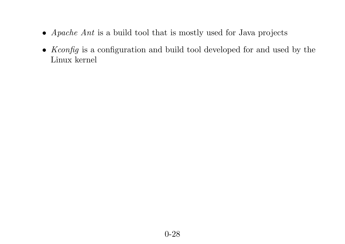- *Apache Ant* is a build tool that is mostly used for Java projects
- *Kconfig* is a configuration and build tool developed for and used by the Linux kernel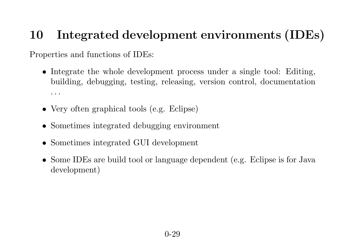# <sup>10</sup> Integrated development environments (IDEs)

Properties and functions of IDEs:

- Integrate the whole development process under <sup>a</sup> single tool: Editing, building, debugging, testing, releasing, version control, documentation. . .
- Very often graphical tools (e.g. Eclipse)
- Sometimes integrated debugging environment
- Sometimes integrated GUI development
- Some IDEs are build tool or language dependent (e.g. Eclipse is for Java development)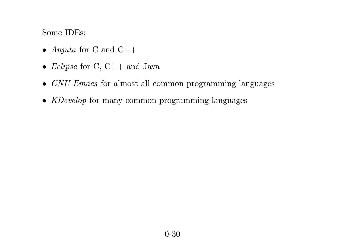Some IDEs:

- Anjuta for C and  $C++$
- *Eclipse* for C, C++ and Java
- $GNU\,Emacs$  for almost all common programming languages
- *KDevelop* for many common programming languages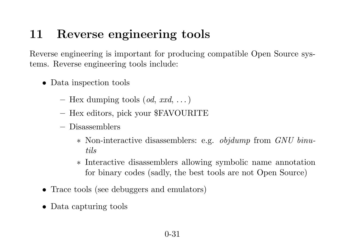# <sup>11</sup> Reverse engineering tools

Reverse engineering is important for producing compatible Open Source systems. Reverse engineering tools include:

- Data inspection tools
	- – $-$  Hex dumping tools  $(\textit{od}, \textit{xxd}, ...)$
	- – $-$  Hex editors, pick your \$FAVOURITE
	- – Disassemblers
		- ∗ Non-interactive disassemblers: e.g. objdump from GNU binutils
		- ∗ Interactive disassemblers allowing symbolic name annotationfor binary codes (sadly, the best tools are not Open Source)
- Trace tools (see debuggers and emulators)
- Data capturing tools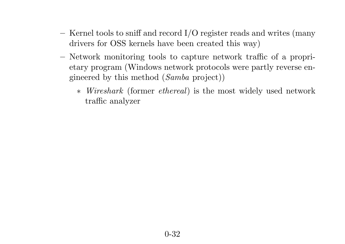- $-$ - Kernel tools to sniff and record I/O register reads and writes (many drivers for OSS kernels have been created this way)
- – Network monitoring tools to capture network traffic of <sup>a</sup> proprietary program (Windows network protocols were partly reverse engineered by this method  $(Samba\ project))$ 
	- ∗Wireshark (former *ethereal*) is the most widely used network traffic analyzer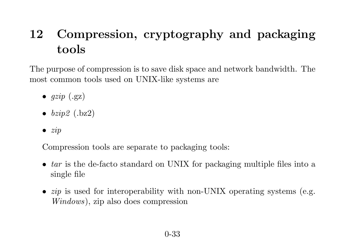# <sup>12</sup> Compression, cryptography and packagingtools

The purpose of compression is to save disk space and network bandwidth. Themost common tools used on UNIX-like systems are

- $gzip (.gz)$
- $\bullet\;\; bzip2\;\; (.bz2)$
- $\bullet$  zip

Compression tools are separate to packaging tools:

- $tar$  is the de-facto standard on UNIX for packaging multiple files into a single file
- $zip$  is used for interoperability with non-UNIX operating systems (e.g. Windows), zip also does compression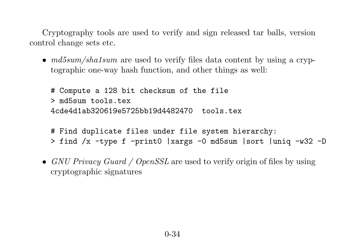Cryptography tools are used to verify and sign released tar balls, versioncontrol change sets etc.

•  $md5sum/shalsum$  are used to verify files data content by using a cryp-<br>terms big are received function and other things as really tographic one-way hash function, and other things as well:

# Compute <sup>a</sup> <sup>128</sup> bit checksum of the file > md5sum tools.tex 4cde4d1ab320619e5725bb19d4482470 tools.tex

- # Find duplicate files under file system hierarchy:
- > find /x -type <sup>f</sup> -print0 |xargs -0 md5sum |sort |uniq -w32 -D
- $GNU\,Privacy\,Guard \, / \, OpenSSL$  are used to verify origin of files by using cryptographic signatures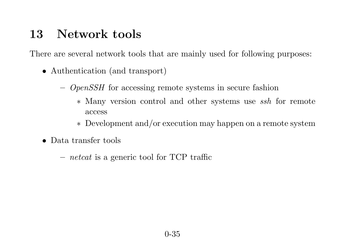#### <sup>13</sup> Network tools

There are several network tools that are mainly used for following purposes:

- Authentication (and transport)
	- $\sim$  *OpenSSH* for accessing remote systems in secure fashion
		- ∗ Many version control and other systems use ssh for remote access
		- ∗ Development and/or execution may happen on <sup>a</sup> remote system
- Data transfer tools
	- $-$  *netcat* is a generic tool for TCP traffic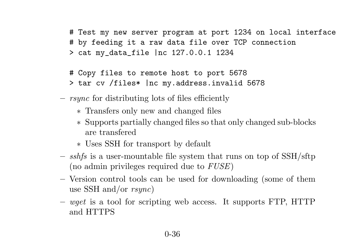# Test my new server program at por<sup>t</sup> <sup>1234</sup> on local interface # by feeding it <sup>a</sup> raw data file over TCP connection > cat my\_data\_file |nc 127.0.0.1 <sup>1234</sup>

- # Copy files to remote host to por<sup>t</sup> <sup>5678</sup>
- > tar cv /files\* |nc my.address.invalid <sup>5678</sup>
- – $-$  rsync for distributing lots of files efficiently
	- ∗ Transfers only new and changed files
	- ∗ Supports partially changed files so that only changed sub-blocks are transfered
	- ∗ Uses SSH for transport by default
- $s_{\text{obs}} = s_{\text{obs}}$  is a user-mountable file system that runs on top of SSH/sftp (no admin privileges required due to  $\it FUSE)$
- Version control tools can be used for downloading (some of them use SSH and/or  $rsync)$
- – $-wget$  is a tool for scripting web access. It supports FTP, HTTP and HTTPS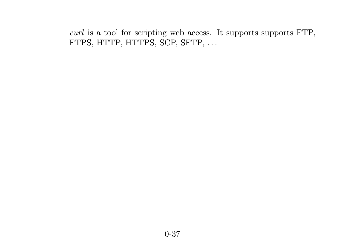$-curl$  is a tool for scripting web access. It supports supports FTP, FTPS, HTTP, HTTPS, SCP, SFTP, ...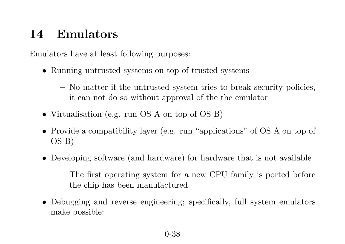#### <sup>14</sup> Emulators

Emulators have at least following purposes:

- Running untrusted systems on top of trusted systems
	- $-$  No matter if the untrusted system tries to break security policies, it can not do so without approva<sup>l</sup> of the the emulator
- Virtualisation (e.g. run OS <sup>A</sup> on top of OS B)
- Provide <sup>a</sup> compatibility layer (e.g. run "applications" of OS <sup>A</sup> on top of OS B)
- Developing software (and hardware) for hardware that is not available
	- The first operating system for <sup>a</sup> new CPU family is ported before the chip has been manufactured
- Debugging and reverse engineering; specifically, full system emulators make possible: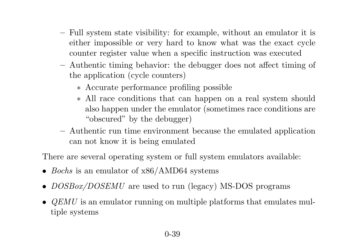- Full system state visibility: for example, without an emulator it is either impossible or very hard to know what was the exact cyclecounter register value when <sup>a</sup> specific instruction was executed
- $-$  Authentic timing behavior: the debugger does not affect timing of the application (cycle counters)
	- ∗ Accurate performance profiling possible
	- ∗ All race conditions that can happen on <sup>a</sup> real system should also happen under the emulator (sometimes race conditions are"obscured" by the debugger)
- – Authentic run time environment because the emulated application can not know it is being emulated

There are several operating system or full system emulators available:

- *Bochs* is an emulator of x86/AMD64 systems
- $DOSBox/DOSEMU$  are used to run (legacy) MS-DOS programs
- $QEMU$  is an emulator running on multiple platforms that emulates multiple tiple systems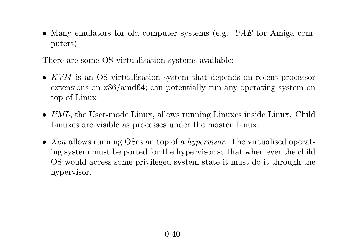• Many emulators for old computer systems (e.g. *UAE* for Amiga computers)

There are some OS virtualisation systems available:

- $KVM$  is an OS virtualisation system that depends on recent processor<br>extensions on  $x^{86}/\text{cm}$ d64; can potentially run any operating system on extensions on x86/amd64; can potentially run any operating system ontop of Linux
- $UML$ , the User-mode Linux, allows running Linuxes inside Linux. Child Linuxes are visible as processes under the master Linux.
- Xen allows running OSes an top of a *hypervisor*. The virtualised operating system must be ported for the hypervisor so that when ever the child OS would access some privileged system state it must do it through thehypervisor.